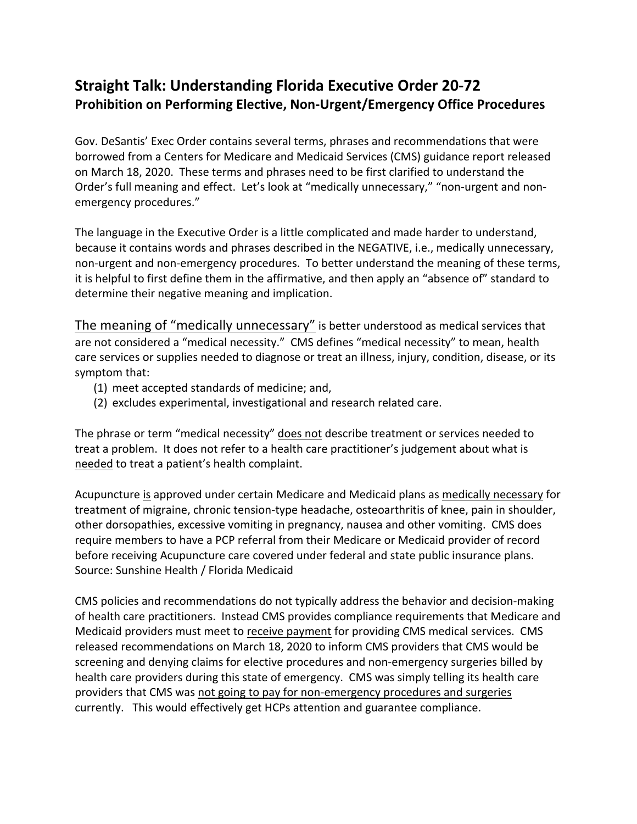## **Straight Talk: Understanding Florida Executive Order 20-72 Prohibition on Performing Elective, Non-Urgent/Emergency Office Procedures**

Gov. DeSantis' Exec Order contains several terms, phrases and recommendations that were borrowed from a Centers for Medicare and Medicaid Services (CMS) guidance report released on March 18, 2020. These terms and phrases need to be first clarified to understand the Order's full meaning and effect. Let's look at "medically unnecessary," "non-urgent and nonemergency procedures."

The language in the Executive Order is a little complicated and made harder to understand, because it contains words and phrases described in the NEGATIVE, i.e., medically unnecessary, non-urgent and non-emergency procedures. To better understand the meaning of these terms, it is helpful to first define them in the affirmative, and then apply an "absence of" standard to determine their negative meaning and implication.

The meaning of "medically unnecessary" is better understood as medical services that are not considered a "medical necessity." CMS defines "medical necessity" to mean, health care services or supplies needed to diagnose or treat an illness, injury, condition, disease, or its symptom that:

- (1) meet accepted standards of medicine; and,
- (2) excludes experimental, investigational and research related care.

The phrase or term "medical necessity" does not describe treatment or services needed to treat a problem. It does not refer to a health care practitioner's judgement about what is needed to treat a patient's health complaint.

Acupuncture is approved under certain Medicare and Medicaid plans as medically necessary for treatment of migraine, chronic tension-type headache, osteoarthritis of knee, pain in shoulder, other dorsopathies, excessive vomiting in pregnancy, nausea and other vomiting. CMS does require members to have a PCP referral from their Medicare or Medicaid provider of record before receiving Acupuncture care covered under federal and state public insurance plans. Source: Sunshine Health / Florida Medicaid

CMS policies and recommendations do not typically address the behavior and decision-making of health care practitioners. Instead CMS provides compliance requirements that Medicare and Medicaid providers must meet to receive payment for providing CMS medical services. CMS released recommendations on March 18, 2020 to inform CMS providers that CMS would be screening and denying claims for elective procedures and non-emergency surgeries billed by health care providers during this state of emergency. CMS was simply telling its health care providers that CMS was not going to pay for non-emergency procedures and surgeries currently. This would effectively get HCPs attention and guarantee compliance.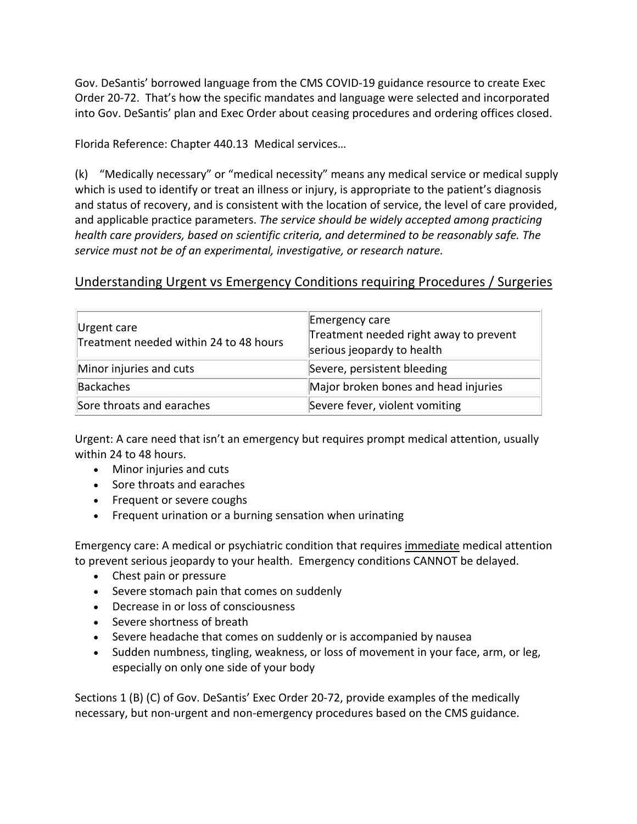Gov. DeSantis' borrowed language from the CMS COVID-19 guidance resource to create Exec Order 20-72. That's how the specific mandates and language were selected and incorporated into Gov. DeSantis' plan and Exec Order about ceasing procedures and ordering offices closed.

Florida Reference: Chapter 440.13 Medical services…

(k) "Medically necessary" or "medical necessity" means any medical service or medical supply which is used to identify or treat an illness or injury, is appropriate to the patient's diagnosis and status of recovery, and is consistent with the location of service, the level of care provided, and applicable practice parameters. *The service should be widely accepted among practicing health care providers, based on scientific criteria, and determined to be reasonably safe. The service must not be of an experimental, investigative, or research nature.*

## Understanding Urgent vs Emergency Conditions requiring Procedures / Surgeries

| Urgent care<br>Treatment needed within 24 to 48 hours | Emergency care<br>Treatment needed right away to prevent<br>serious jeopardy to health |
|-------------------------------------------------------|----------------------------------------------------------------------------------------|
| Minor injuries and cuts                               | Severe, persistent bleeding                                                            |
| Backaches                                             | Major broken bones and head injuries                                                   |
| Sore throats and earaches                             | Severe fever, violent vomiting                                                         |

Urgent: A care need that isn't an emergency but requires prompt medical attention, usually within 24 to 48 hours.

- Minor injuries and cuts
- Sore throats and earaches
- Frequent or severe coughs
- Frequent urination or a burning sensation when urinating

Emergency care: A medical or psychiatric condition that requires immediate medical attention to prevent serious jeopardy to your health. Emergency conditions CANNOT be delayed.

- Chest pain or pressure
- Severe stomach pain that comes on suddenly
- Decrease in or loss of consciousness
- Severe shortness of breath
- Severe headache that comes on suddenly or is accompanied by nausea
- Sudden numbness, tingling, weakness, or loss of movement in your face, arm, or leg, especially on only one side of your body

Sections 1 (B) (C) of Gov. DeSantis' Exec Order 20-72, provide examples of the medically necessary, but non-urgent and non-emergency procedures based on the CMS guidance.